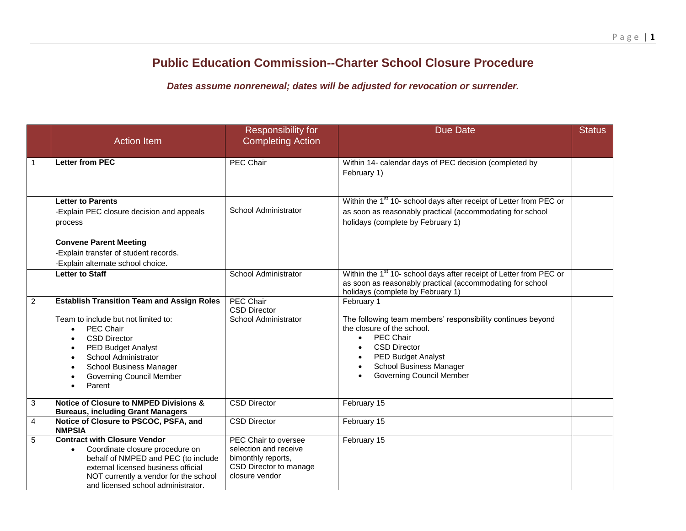## **Public Education Commission--Charter School Closure Procedure**

*Dates assume nonrenewal; dates will be adjusted for revocation or surrender.*

|                | <b>Action Item</b>                                                                                                                                                                                                                                        | <b>Responsibility for</b><br><b>Completing Action</b>                                                           | <b>Due Date</b>                                                                                                                                                                                                                                            | <b>Status</b> |
|----------------|-----------------------------------------------------------------------------------------------------------------------------------------------------------------------------------------------------------------------------------------------------------|-----------------------------------------------------------------------------------------------------------------|------------------------------------------------------------------------------------------------------------------------------------------------------------------------------------------------------------------------------------------------------------|---------------|
| $\overline{1}$ | <b>Letter from PEC</b>                                                                                                                                                                                                                                    | PEC Chair                                                                                                       | Within 14- calendar days of PEC decision (completed by<br>February 1)                                                                                                                                                                                      |               |
|                | <b>Letter to Parents</b><br>-Explain PEC closure decision and appeals<br>process<br><b>Convene Parent Meeting</b>                                                                                                                                         | School Administrator                                                                                            | Within the 1 <sup>st</sup> 10- school days after receipt of Letter from PEC or<br>as soon as reasonably practical (accommodating for school<br>holidays (complete by February 1)                                                                           |               |
|                | -Explain transfer of student records.<br>-Explain alternate school choice.                                                                                                                                                                                |                                                                                                                 |                                                                                                                                                                                                                                                            |               |
|                | <b>Letter to Staff</b>                                                                                                                                                                                                                                    | School Administrator                                                                                            | Within the 1 <sup>st</sup> 10- school days after receipt of Letter from PEC or<br>as soon as reasonably practical (accommodating for school<br>holidays (complete by February 1)                                                                           |               |
| $\overline{2}$ | <b>Establish Transition Team and Assign Roles</b><br>Team to include but not limited to:<br>PEC Chair<br><b>CSD Director</b><br><b>PED Budget Analyst</b><br>School Administrator<br>School Business Manager<br><b>Governing Council Member</b><br>Parent | <b>PEC Chair</b><br><b>CSD Director</b><br>School Administrator                                                 | February 1<br>The following team members' responsibility continues beyond<br>the closure of the school.<br>PEC Chair<br>$\bullet$<br><b>CSD Director</b><br><b>PED Budget Analyst</b><br><b>School Business Manager</b><br><b>Governing Council Member</b> |               |
| 3              | <b>Notice of Closure to NMPED Divisions &amp;</b><br><b>Bureaus, including Grant Managers</b>                                                                                                                                                             | <b>CSD Director</b>                                                                                             | February 15                                                                                                                                                                                                                                                |               |
| $\overline{4}$ | Notice of Closure to PSCOC, PSFA, and<br><b>NMPSIA</b>                                                                                                                                                                                                    | <b>CSD Director</b>                                                                                             | February 15                                                                                                                                                                                                                                                |               |
| 5              | <b>Contract with Closure Vendor</b><br>Coordinate closure procedure on<br>$\bullet$<br>behalf of NMPED and PEC (to include<br>external licensed business official<br>NOT currently a vendor for the school<br>and licensed school administrator.          | PEC Chair to oversee<br>selection and receive<br>bimonthly reports,<br>CSD Director to manage<br>closure vendor | February 15                                                                                                                                                                                                                                                |               |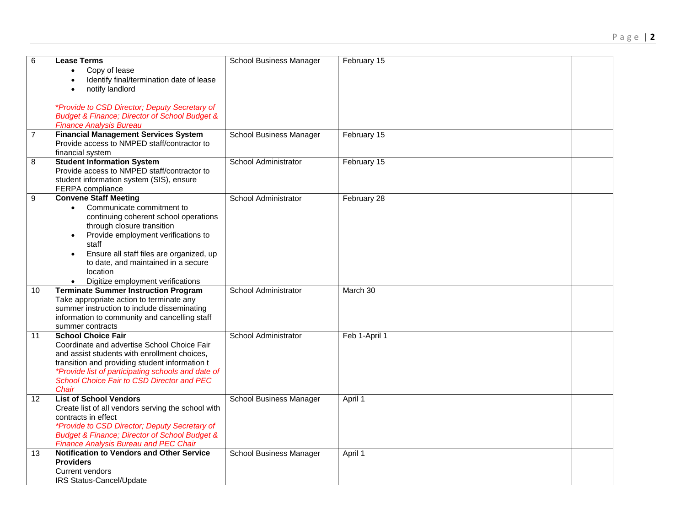| 6  | <b>Lease Terms</b><br>Copy of lease                                                                           | School Business Manager        | February 15   |  |
|----|---------------------------------------------------------------------------------------------------------------|--------------------------------|---------------|--|
|    | Identify final/termination date of lease                                                                      |                                |               |  |
|    | notify landlord                                                                                               |                                |               |  |
|    |                                                                                                               |                                |               |  |
|    | *Provide to CSD Director; Deputy Secretary of                                                                 |                                |               |  |
|    | <b>Budget &amp; Finance; Director of School Budget &amp;</b>                                                  |                                |               |  |
|    | <b>Finance Analysis Bureau</b>                                                                                |                                |               |  |
| 7  | <b>Financial Management Services System</b>                                                                   | School Business Manager        | February 15   |  |
|    | Provide access to NMPED staff/contractor to                                                                   |                                |               |  |
|    | financial system                                                                                              |                                |               |  |
| 8  | <b>Student Information System</b>                                                                             | School Administrator           | February 15   |  |
|    | Provide access to NMPED staff/contractor to                                                                   |                                |               |  |
|    | student information system (SIS), ensure                                                                      |                                |               |  |
|    | FERPA compliance<br><b>Convene Staff Meeting</b>                                                              | School Administrator           | February 28   |  |
| 9  | Communicate commitment to                                                                                     |                                |               |  |
|    | continuing coherent school operations                                                                         |                                |               |  |
|    | through closure transition                                                                                    |                                |               |  |
|    | Provide employment verifications to<br>$\bullet$                                                              |                                |               |  |
|    | staff                                                                                                         |                                |               |  |
|    | Ensure all staff files are organized, up                                                                      |                                |               |  |
|    | to date, and maintained in a secure                                                                           |                                |               |  |
|    | location                                                                                                      |                                |               |  |
|    | Digitize employment verifications                                                                             |                                |               |  |
| 10 | <b>Terminate Summer Instruction Program</b>                                                                   | School Administrator           | March 30      |  |
|    | Take appropriate action to terminate any                                                                      |                                |               |  |
|    | summer instruction to include disseminating                                                                   |                                |               |  |
|    | information to community and cancelling staff<br>summer contracts                                             |                                |               |  |
| 11 | <b>School Choice Fair</b>                                                                                     | School Administrator           | Feb 1-April 1 |  |
|    | Coordinate and advertise School Choice Fair                                                                   |                                |               |  |
|    | and assist students with enrollment choices,                                                                  |                                |               |  |
|    | transition and providing student information t                                                                |                                |               |  |
|    | <i>*Provide list of participating schools and date of</i>                                                     |                                |               |  |
|    | School Choice Fair to CSD Director and PEC                                                                    |                                |               |  |
|    | Chair                                                                                                         |                                |               |  |
| 12 | <b>List of School Vendors</b>                                                                                 | School Business Manager        | April 1       |  |
|    | Create list of all vendors serving the school with                                                            |                                |               |  |
|    | contracts in effect                                                                                           |                                |               |  |
|    | *Provide to CSD Director; Deputy Secretary of<br><b>Budget &amp; Finance; Director of School Budget &amp;</b> |                                |               |  |
|    | <b>Finance Analysis Bureau and PEC Chair</b>                                                                  |                                |               |  |
| 13 | <b>Notification to Vendors and Other Service</b>                                                              | <b>School Business Manager</b> | April 1       |  |
|    | <b>Providers</b>                                                                                              |                                |               |  |
|    | Current vendors                                                                                               |                                |               |  |
|    | <b>IRS Status-Cancel/Update</b>                                                                               |                                |               |  |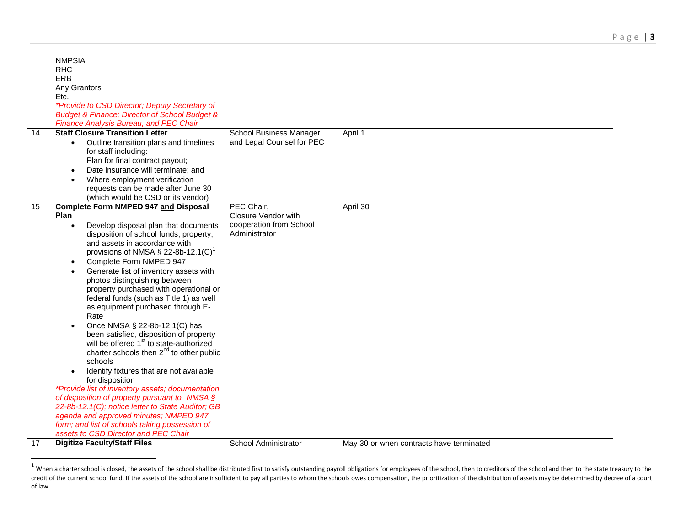|                 | <b>NMPSIA</b>                                                |                            |                                          |  |
|-----------------|--------------------------------------------------------------|----------------------------|------------------------------------------|--|
|                 | <b>RHC</b>                                                   |                            |                                          |  |
|                 | ERB                                                          |                            |                                          |  |
|                 | Any Grantors                                                 |                            |                                          |  |
|                 | Etc.                                                         |                            |                                          |  |
|                 | *Provide to CSD Director; Deputy Secretary of                |                            |                                          |  |
|                 | <b>Budget &amp; Finance; Director of School Budget &amp;</b> |                            |                                          |  |
|                 | Finance Analysis Bureau, and PEC Chair                       |                            |                                          |  |
| 14              | <b>Staff Closure Transition Letter</b>                       | School Business Manager    | April 1                                  |  |
|                 | Outline transition plans and timelines                       | and Legal Counsel for PEC  |                                          |  |
|                 | for staff including:                                         |                            |                                          |  |
|                 | Plan for final contract payout;                              |                            |                                          |  |
|                 | Date insurance will terminate; and<br>$\bullet$              |                            |                                          |  |
|                 | Where employment verification                                |                            |                                          |  |
|                 | requests can be made after June 30                           |                            |                                          |  |
|                 | (which would be CSD or its vendor)                           |                            |                                          |  |
| $\overline{15}$ | <b>Complete Form NMPED 947 and Disposal</b>                  | PEC Chair,                 | April 30                                 |  |
|                 | Plan                                                         | <b>Closure Vendor with</b> |                                          |  |
|                 | Develop disposal plan that documents<br>$\bullet$            | cooperation from School    |                                          |  |
|                 | disposition of school funds, property,                       | Administrator              |                                          |  |
|                 | and assets in accordance with                                |                            |                                          |  |
|                 | provisions of NMSA $\S$ 22-8b-12.1(C) <sup>1</sup>           |                            |                                          |  |
|                 | Complete Form NMPED 947<br>$\bullet$                         |                            |                                          |  |
|                 | Generate list of inventory assets with                       |                            |                                          |  |
|                 | photos distinguishing between                                |                            |                                          |  |
|                 | property purchased with operational or                       |                            |                                          |  |
|                 | federal funds (such as Title 1) as well                      |                            |                                          |  |
|                 | as equipment purchased through E-                            |                            |                                          |  |
|                 | Rate                                                         |                            |                                          |  |
|                 | Once NMSA § 22-8b-12.1(C) has                                |                            |                                          |  |
|                 | been satisfied, disposition of property                      |                            |                                          |  |
|                 | will be offered 1 <sup>st</sup> to state-authorized          |                            |                                          |  |
|                 | charter schools then 2 <sup>nd</sup> to other public         |                            |                                          |  |
|                 | schools                                                      |                            |                                          |  |
|                 | Identify fixtures that are not available                     |                            |                                          |  |
|                 | for disposition                                              |                            |                                          |  |
|                 | *Provide list of inventory assets; documentation             |                            |                                          |  |
|                 | of disposition of property pursuant to NMSA $\S$             |                            |                                          |  |
|                 | 22-8b-12.1(C); notice letter to State Auditor; GB            |                            |                                          |  |
|                 | agenda and approved minutes; NMPED 947                       |                            |                                          |  |
|                 | form; and list of schools taking possession of               |                            |                                          |  |
|                 | assets to CSD Director and PEC Chair                         |                            |                                          |  |
| 17              | <b>Digitize Faculty/Staff Files</b>                          | School Administrator       | May 30 or when contracts have terminated |  |

 $^1$  When a charter school is closed, the assets of the school shall be distributed first to satisfy outstanding payroll obligations for employees of the school, then to creditors of the school and then to the state treas credit of the current school fund. If the assets of the school are insufficient to pay all parties to whom the schools owes compensation, the prioritization of the distribution of assets may be determined by decree of a co of law.

 $\overline{a}$